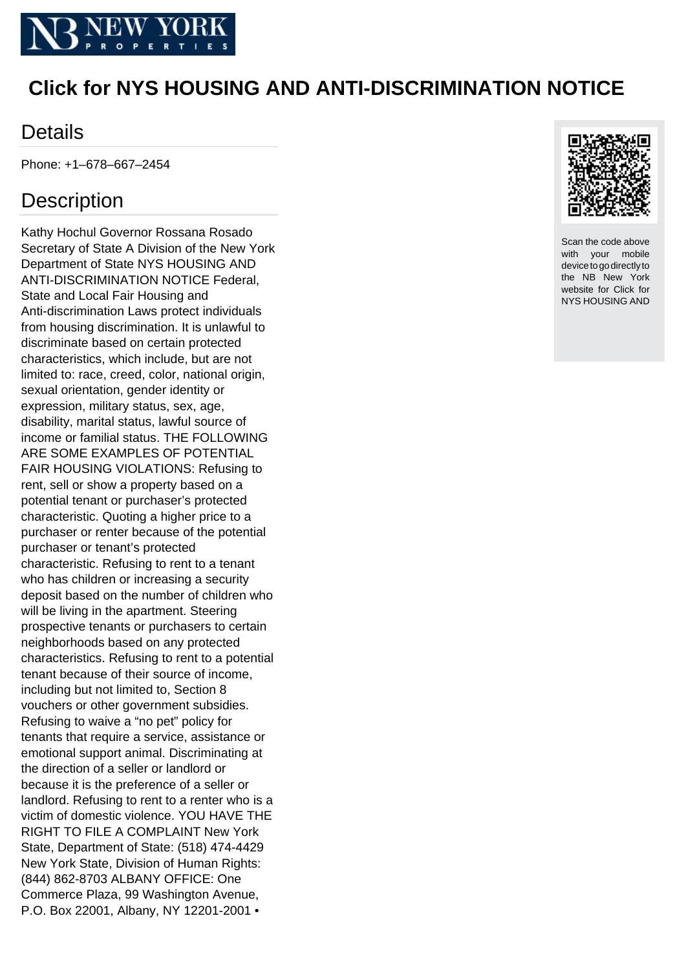

## **Click for NYS HOUSING AND ANTI-DISCRIMINATION NOTICE**

## **Details**

Phone: +1–678–667–2454

## **Description**

Kathy Hochul Governor Rossana Rosado Secretary of State A Division of the New York Department of State NYS HOUSING AND ANTI-DISCRIMINATION NOTICE Federal, State and Local Fair Housing and Anti-discrimination Laws protect individuals from housing discrimination. It is unlawful to discriminate based on certain protected characteristics, which include, but are not limited to: race, creed, color, national origin, sexual orientation, gender identity or expression, military status, sex, age, disability, marital status, lawful source of income or familial status. THE FOLLOWING ARE SOME EXAMPLES OF POTENTIAL FAIR HOUSING VIOLATIONS: Refusing to rent, sell or show a property based on a potential tenant or purchaser's protected characteristic. Quoting a higher price to a purchaser or renter because of the potential purchaser or tenant's protected characteristic. Refusing to rent to a tenant who has children or increasing a security deposit based on the number of children who will be living in the apartment. Steering prospective tenants or purchasers to certain neighborhoods based on any protected characteristics. Refusing to rent to a potential tenant because of their source of income, including but not limited to, Section 8 vouchers or other government subsidies. Refusing to waive a "no pet" policy for tenants that require a service, assistance or emotional support animal. Discriminating at the direction of a seller or landlord or because it is the preference of a seller or landlord. Refusing to rent to a renter who is a victim of domestic violence. YOU HAVE THE RIGHT TO FILE A COMPLAINT New York State, Department of State: (518) 474-4429 New York State, Division of Human Rights: (844) 862-8703 ALBANY OFFICE: One Commerce Plaza, 99 Washington Avenue, P.O. Box 22001, Albany, NY 12201-2001 •



Scan the code above with your mobile device to go directly to the NB New York website for Click for NYS HOUSING AND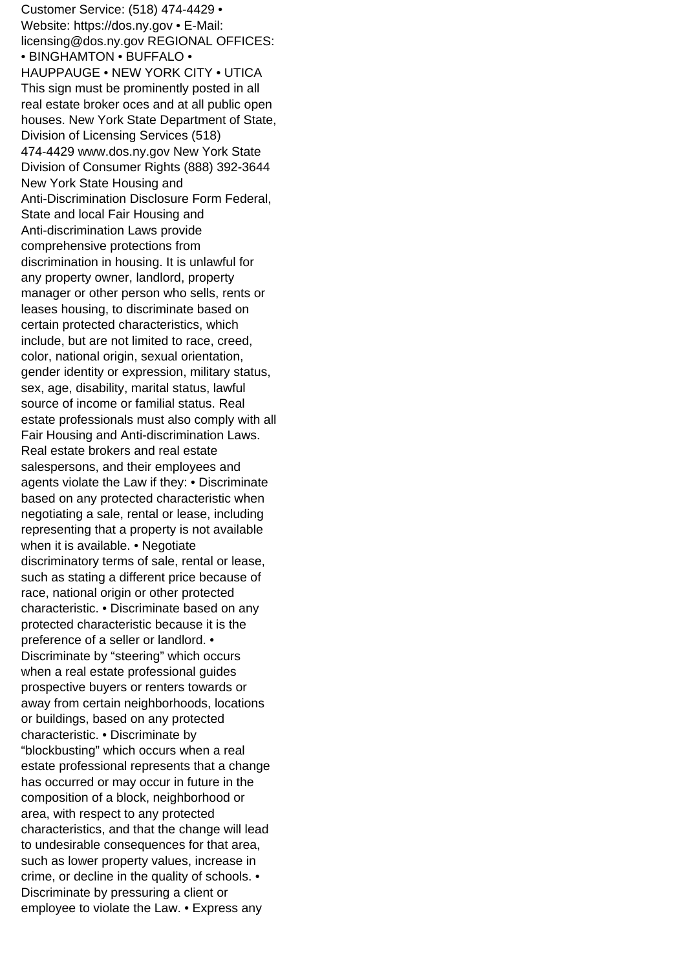Customer Service: (518) 474-4429 • Website: https://dos.ny.gov • E-Mail: licensing@dos.ny.gov REGIONAL OFFICES: • BINGHAMTON • BUFFALO • HAUPPAUGE • NEW YORK CITY • UTICA This sign must be prominently posted in all real estate broker o ces and at all public open houses. New York State Department of State, Division of Licensing Services (518) 474-4429 www.dos.ny.gov New York State Division of Consumer Rights (888) 392-3644 New York State Housing and Anti-Discrimination Disclosure Form Federal, State and local Fair Housing and Anti-discrimination Laws provide comprehensive protections from discrimination in housing. It is unlawful for any property owner, landlord, property manager or other person who sells, rents or leases housing, to discriminate based on certain protected characteristics, which include, but are not limited to race, creed, color, national origin, sexual orientation, gender identity or expression, military status, sex, age, disability, marital status, lawful source of income or familial status. Real estate professionals must also comply with all Fair Housing and Anti-discrimination Laws. Real estate brokers and real estate salespersons, and their employees and agents violate the Law if they: • Discriminate based on any protected characteristic when negotiating a sale, rental or lease, including representing that a property is not available when it is available. • Negotiate discriminatory terms of sale, rental or lease, such as stating a different price because of race, national origin or other protected characteristic. • Discriminate based on any protected characteristic because it is the preference of a seller or landlord. • Discriminate by "steering" which occurs when a real estate professional guides prospective buyers or renters towards or away from certain neighborhoods, locations or buildings, based on any protected characteristic. • Discriminate by "blockbusting" which occurs when a real estate professional represents that a change has occurred or may occur in future in the composition of a block, neighborhood or area, with respect to any protected characteristics, and that the change will lead to undesirable consequences for that area, such as lower property values, increase in crime, or decline in the quality of schools. • Discriminate by pressuring a client or employee to violate the Law. • Express any